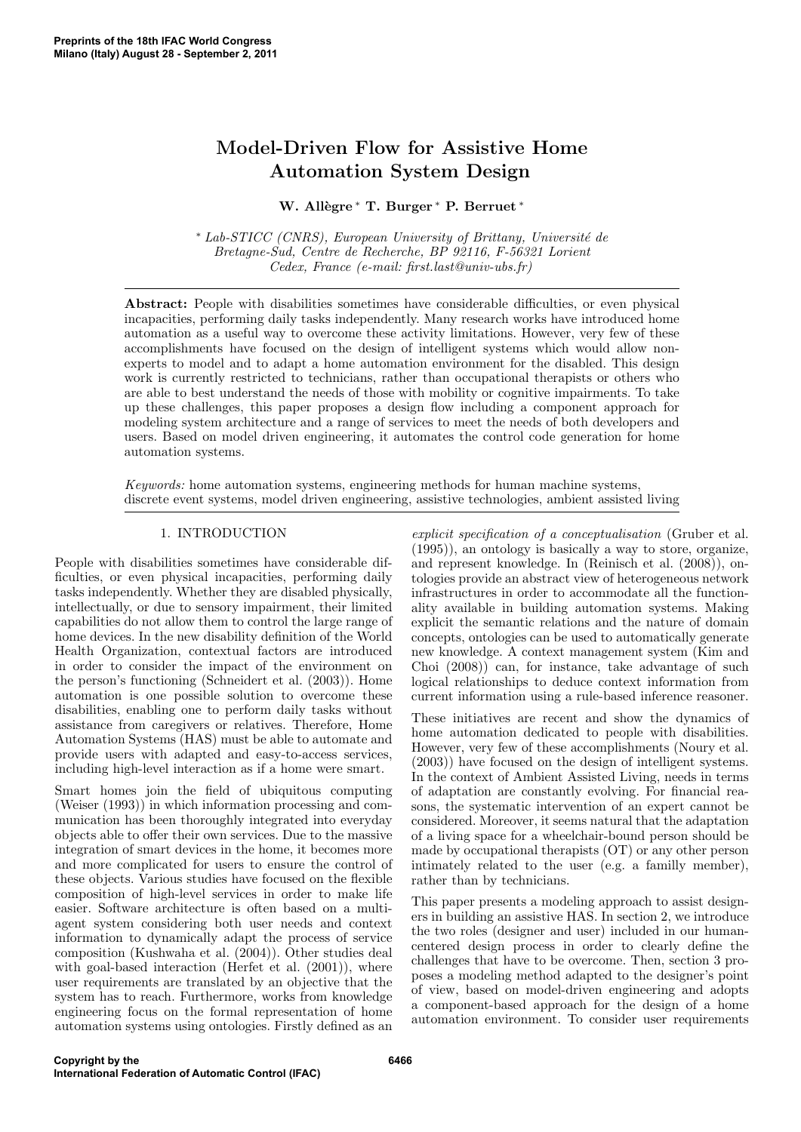# Model-Driven Flow for Assistive Home Automation System Design

## W. Allègre \* T. Burger \* P. Berruet \*

 $*$  Lab-STICC (CNRS), European University of Brittany, Université de Bretagne-Sud, Centre de Recherche, BP 92116, F-56321 Lorient Cedex, France (e-mail: first.last@univ-ubs.fr)

Abstract: People with disabilities sometimes have considerable difficulties, or even physical incapacities, performing daily tasks independently. Many research works have introduced home automation as a useful way to overcome these activity limitations. However, very few of these accomplishments have focused on the design of intelligent systems which would allow nonexperts to model and to adapt a home automation environment for the disabled. This design work is currently restricted to technicians, rather than occupational therapists or others who are able to best understand the needs of those with mobility or cognitive impairments. To take up these challenges, this paper proposes a design flow including a component approach for modeling system architecture and a range of services to meet the needs of both developers and users. Based on model driven engineering, it automates the control code generation for home automation systems.

Keywords: home automation systems, engineering methods for human machine systems, discrete event systems, model driven engineering, assistive technologies, ambient assisted living

## 1. INTRODUCTION

People with disabilities sometimes have considerable difficulties, or even physical incapacities, performing daily tasks independently. Whether they are disabled physically, intellectually, or due to sensory impairment, their limited capabilities do not allow them to control the large range of home devices. In the new disability definition of the World Health Organization, contextual factors are introduced in order to consider the impact of the environment on the person's functioning (Schneidert et al. (2003)). Home automation is one possible solution to overcome these disabilities, enabling one to perform daily tasks without assistance from caregivers or relatives. Therefore, Home Automation Systems (HAS) must be able to automate and provide users with adapted and easy-to-access services, including high-level interaction as if a home were smart.

Smart homes join the field of ubiquitous computing (Weiser (1993)) in which information processing and communication has been thoroughly integrated into everyday objects able to offer their own services. Due to the massive integration of smart devices in the home, it becomes more and more complicated for users to ensure the control of these objects. Various studies have focused on the flexible composition of high-level services in order to make life easier. Software architecture is often based on a multiagent system considering both user needs and context information to dynamically adapt the process of service composition (Kushwaha et al. (2004)). Other studies deal with goal-based interaction (Herfet et al.  $(2001)$ ), where user requirements are translated by an objective that the system has to reach. Furthermore, works from knowledge engineering focus on the formal representation of home automation systems using ontologies. Firstly defined as an

explicit specification of a conceptualisation (Gruber et al. (1995)), an ontology is basically a way to store, organize, and represent knowledge. In (Reinisch et al. (2008)), ontologies provide an abstract view of heterogeneous network infrastructures in order to accommodate all the functionality available in building automation systems. Making explicit the semantic relations and the nature of domain concepts, ontologies can be used to automatically generate new knowledge. A context management system (Kim and Choi (2008)) can, for instance, take advantage of such logical relationships to deduce context information from current information using a rule-based inference reasoner.

These initiatives are recent and show the dynamics of home automation dedicated to people with disabilities. However, very few of these accomplishments (Noury et al. (2003)) have focused on the design of intelligent systems. In the context of Ambient Assisted Living, needs in terms of adaptation are constantly evolving. For financial reasons, the systematic intervention of an expert cannot be considered. Moreover, it seems natural that the adaptation of a living space for a wheelchair-bound person should be made by occupational therapists (OT) or any other person intimately related to the user (e.g. a familly member), rather than by technicians.

This paper presents a modeling approach to assist designers in building an assistive HAS. In section 2, we introduce the two roles (designer and user) included in our humancentered design process in order to clearly define the challenges that have to be overcome. Then, section 3 proposes a modeling method adapted to the designer's point of view, based on model-driven engineering and adopts a component-based approach for the design of a home automation environment. To consider user requirements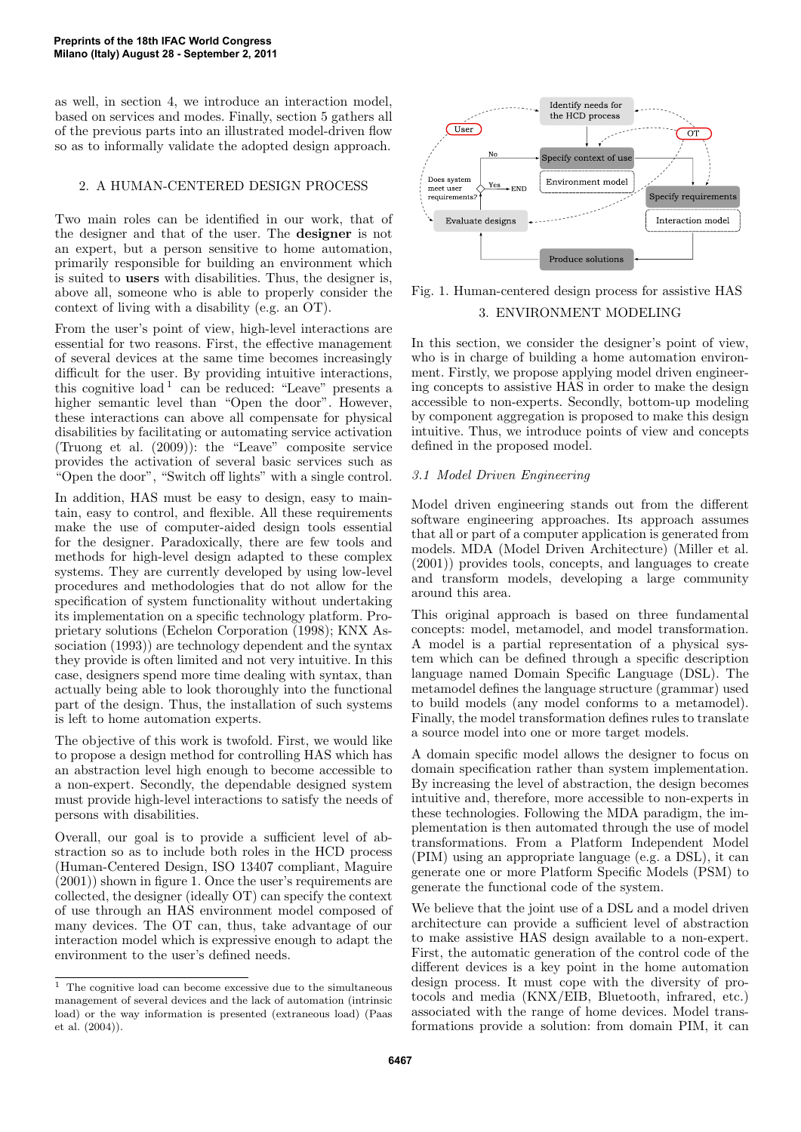as well, in section 4, we introduce an interaction model, based on services and modes. Finally, section 5 gathers all of the previous parts into an illustrated model-driven flow so as to informally validate the adopted design approach.

## 2. A HUMAN-CENTERED DESIGN PROCESS

Two main roles can be identified in our work, that of the designer and that of the user. The designer is not an expert, but a person sensitive to home automation, primarily responsible for building an environment which is suited to users with disabilities. Thus, the designer is, above all, someone who is able to properly consider the context of living with a disability (e.g. an OT).

From the user's point of view, high-level interactions are essential for two reasons. First, the effective management of several devices at the same time becomes increasingly difficult for the user. By providing intuitive interactions, this cognitive load<sup>1</sup> can be reduced: "Leave" presents a higher semantic level than "Open the door". However, these interactions can above all compensate for physical disabilities by facilitating or automating service activation (Truong et al. (2009)): the "Leave" composite service provides the activation of several basic services such as "Open the door", "Switch off lights" with a single control.

In addition, HAS must be easy to design, easy to maintain, easy to control, and flexible. All these requirements make the use of computer-aided design tools essential for the designer. Paradoxically, there are few tools and methods for high-level design adapted to these complex systems. They are currently developed by using low-level procedures and methodologies that do not allow for the specification of system functionality without undertaking its implementation on a specific technology platform. Proprietary solutions (Echelon Corporation (1998); KNX Association (1993)) are technology dependent and the syntax they provide is often limited and not very intuitive. In this case, designers spend more time dealing with syntax, than actually being able to look thoroughly into the functional part of the design. Thus, the installation of such systems is left to home automation experts.

The objective of this work is twofold. First, we would like to propose a design method for controlling HAS which has an abstraction level high enough to become accessible to a non-expert. Secondly, the dependable designed system must provide high-level interactions to satisfy the needs of persons with disabilities.

Overall, our goal is to provide a sufficient level of abstraction so as to include both roles in the HCD process (Human-Centered Design, ISO 13407 compliant, Maguire (2001)) shown in figure 1. Once the user's requirements are collected, the designer (ideally OT) can specify the context of use through an HAS environment model composed of many devices. The OT can, thus, take advantage of our interaction model which is expressive enough to adapt the environment to the user's defined needs.



Fig. 1. Human-centered design process for assistive HAS 3. ENVIRONMENT MODELING

In this section, we consider the designer's point of view, who is in charge of building a home automation environment. Firstly, we propose applying model driven engineering concepts to assistive HAS in order to make the design accessible to non-experts. Secondly, bottom-up modeling by component aggregation is proposed to make this design intuitive. Thus, we introduce points of view and concepts defined in the proposed model.

## 3.1 Model Driven Engineering

Model driven engineering stands out from the different software engineering approaches. Its approach assumes that all or part of a computer application is generated from models. MDA (Model Driven Architecture) (Miller et al. (2001)) provides tools, concepts, and languages to create and transform models, developing a large community around this area.

This original approach is based on three fundamental concepts: model, metamodel, and model transformation. A model is a partial representation of a physical system which can be defined through a specific description language named Domain Specific Language (DSL). The metamodel defines the language structure (grammar) used to build models (any model conforms to a metamodel). Finally, the model transformation defines rules to translate a source model into one or more target models.

A domain specific model allows the designer to focus on domain specification rather than system implementation. By increasing the level of abstraction, the design becomes intuitive and, therefore, more accessible to non-experts in these technologies. Following the MDA paradigm, the implementation is then automated through the use of model transformations. From a Platform Independent Model (PIM) using an appropriate language (e.g. a DSL), it can generate one or more Platform Specific Models (PSM) to generate the functional code of the system.

We believe that the joint use of a DSL and a model driven architecture can provide a sufficient level of abstraction to make assistive HAS design available to a non-expert. First, the automatic generation of the control code of the different devices is a key point in the home automation design process. It must cope with the diversity of protocols and media (KNX/EIB, Bluetooth, infrared, etc.) associated with the range of home devices. Model transformations provide a solution: from domain PIM, it can

 $^{\rm 1}$  The cognitive load can become excessive due to the simultaneous management of several devices and the lack of automation (intrinsic load) or the way information is presented (extraneous load) (Paas et al. (2004)).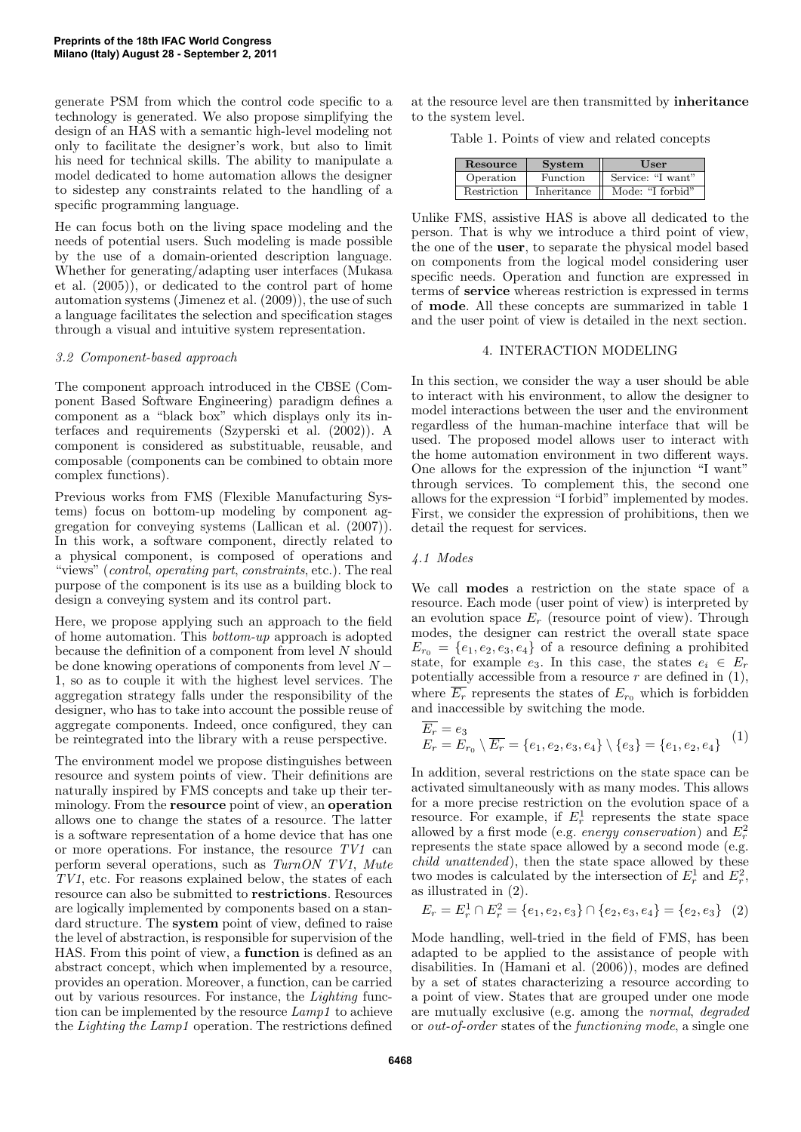generate PSM from which the control code specific to a technology is generated. We also propose simplifying the design of an HAS with a semantic high-level modeling not only to facilitate the designer's work, but also to limit his need for technical skills. The ability to manipulate a model dedicated to home automation allows the designer to sidestep any constraints related to the handling of a specific programming language.

He can focus both on the living space modeling and the needs of potential users. Such modeling is made possible by the use of a domain-oriented description language. Whether for generating/adapting user interfaces (Mukasa et al. (2005)), or dedicated to the control part of home automation systems (Jimenez et al. (2009)), the use of such a language facilitates the selection and specification stages through a visual and intuitive system representation.

#### 3.2 Component-based approach

The component approach introduced in the CBSE (Component Based Software Engineering) paradigm defines a component as a "black box" which displays only its interfaces and requirements (Szyperski et al. (2002)). A component is considered as substituable, reusable, and composable (components can be combined to obtain more complex functions).

Previous works from FMS (Flexible Manufacturing Systems) focus on bottom-up modeling by component aggregation for conveying systems (Lallican et al. (2007)). In this work, a software component, directly related to a physical component, is composed of operations and "views" (control, operating part, constraints, etc.). The real purpose of the component is its use as a building block to design a conveying system and its control part.

Here, we propose applying such an approach to the field of home automation. This bottom-up approach is adopted because the definition of a component from level N should be done knowing operations of components from level  $N -$ 1, so as to couple it with the highest level services. The aggregation strategy falls under the responsibility of the designer, who has to take into account the possible reuse of aggregate components. Indeed, once configured, they can be reintegrated into the library with a reuse perspective.

The environment model we propose distinguishes between resource and system points of view. Their definitions are naturally inspired by FMS concepts and take up their terminology. From the resource point of view, an operation allows one to change the states of a resource. The latter is a software representation of a home device that has one or more operations. For instance, the resource TV1 can perform several operations, such as TurnON TV1, Mute TV1, etc. For reasons explained below, the states of each resource can also be submitted to restrictions. Resources are logically implemented by components based on a standard structure. The system point of view, defined to raise the level of abstraction, is responsible for supervision of the HAS. From this point of view, a function is defined as an abstract concept, which when implemented by a resource, provides an operation. Moreover, a function, can be carried out by various resources. For instance, the Lighting function can be implemented by the resource Lamp1 to achieve the Lighting the Lamp1 operation. The restrictions defined

at the resource level are then transmitted by inheritance to the system level.

Table 1. Points of view and related concepts

| Resource    | <b>System</b>   | User              |
|-------------|-----------------|-------------------|
| Operation   | <b>Function</b> | Service: "I want" |
| Restriction | Inheritance     | Mode: "I forbid"  |

Unlike FMS, assistive HAS is above all dedicated to the person. That is why we introduce a third point of view, the one of the user, to separate the physical model based on components from the logical model considering user specific needs. Operation and function are expressed in terms of service whereas restriction is expressed in terms of mode. All these concepts are summarized in table 1 and the user point of view is detailed in the next section.

#### 4. INTERACTION MODELING

In this section, we consider the way a user should be able to interact with his environment, to allow the designer to model interactions between the user and the environment regardless of the human-machine interface that will be used. The proposed model allows user to interact with the home automation environment in two different ways. One allows for the expression of the injunction "I want" through services. To complement this, the second one allows for the expression "I forbid" implemented by modes. First, we consider the expression of prohibitions, then we detail the request for services.

## 4.1 Modes

We call modes a restriction on the state space of a resource. Each mode (user point of view) is interpreted by an evolution space  $E_r$  (resource point of view). Through modes, the designer can restrict the overall state space  $E_{r_0} = \{e_1, e_2, e_3, e_4\}$  of a resource defining a prohibited state, for example  $e_3$ . In this case, the states  $e_i \in E_r$ potentially accessible from a resource  $r$  are defined in  $(1)$ , where  $\overline{E_r}$  represents the states of  $E_{r_0}$  which is forbidden and inaccessible by switching the mode.

$$
\overline{E_r} = e_3
$$
  
\n
$$
E_r = E_{r_0} \setminus \overline{E_r} = \{e_1, e_2, e_3, e_4\} \setminus \{e_3\} = \{e_1, e_2, e_4\} \tag{1}
$$

In addition, several restrictions on the state space can be activated simultaneously with as many modes. This allows for a more precise restriction on the evolution space of a resource. For example, if  $E_r^1$  represents the state space allowed by a first mode (e.g. *energy conservation*) and  $E_r^2$ represents the state space allowed by a second mode (e.g. child unattended), then the state space allowed by these two modes is calculated by the intersection of  $E_r^1$  and  $E_r^2$ , as illustrated in (2).

$$
E_r = E_r^1 \cap E_r^2 = \{e_1, e_2, e_3\} \cap \{e_2, e_3, e_4\} = \{e_2, e_3\} \quad (2)
$$

Mode handling, well-tried in the field of FMS, has been adapted to be applied to the assistance of people with disabilities. In (Hamani et al. (2006)), modes are defined by a set of states characterizing a resource according to a point of view. States that are grouped under one mode are mutually exclusive (e.g. among the normal, degraded or out-of-order states of the functioning mode, a single one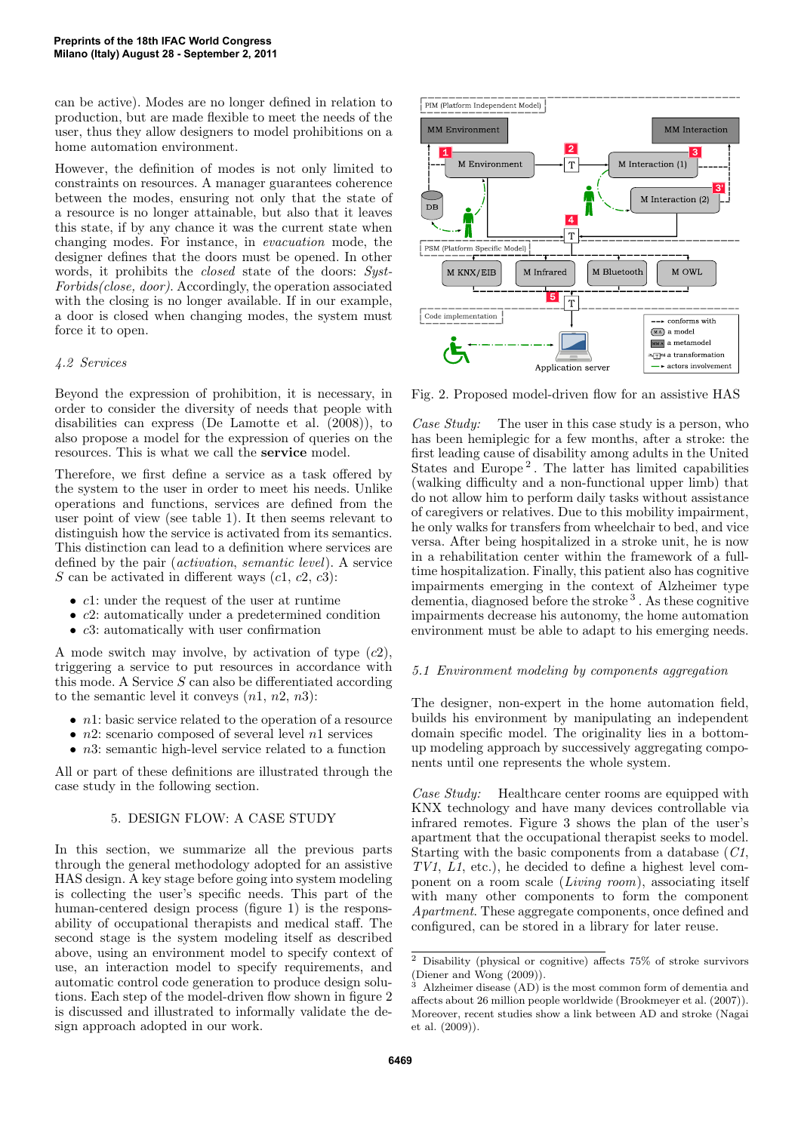can be active). Modes are no longer defined in relation to production, but are made flexible to meet the needs of the user, thus they allow designers to model prohibitions on a home automation environment.

However, the definition of modes is not only limited to constraints on resources. A manager guarantees coherence between the modes, ensuring not only that the state of a resource is no longer attainable, but also that it leaves this state, if by any chance it was the current state when changing modes. For instance, in evacuation mode, the designer defines that the doors must be opened. In other words, it prohibits the *closed* state of the doors: Syst-Forbids(close, door). Accordingly, the operation associated with the closing is no longer available. If in our example, a door is closed when changing modes, the system must force it to open.

### 4.2 Services

Beyond the expression of prohibition, it is necessary, in order to consider the diversity of needs that people with disabilities can express (De Lamotte et al. (2008)), to also propose a model for the expression of queries on the resources. This is what we call the service model.

Therefore, we first define a service as a task offered by the system to the user in order to meet his needs. Unlike operations and functions, services are defined from the user point of view (see table 1). It then seems relevant to distinguish how the service is activated from its semantics. This distinction can lead to a definition where services are defined by the pair (activation, semantic level). A service S can be activated in different ways  $(c1, c2, c3)$ :

- c1: under the request of the user at runtime
- c2: automatically under a predetermined condition
- $c3$ : automatically with user confirmation

A mode switch may involve, by activation of type  $(c2)$ , triggering a service to put resources in accordance with this mode. A Service  $S$  can also be differentiated according to the semantic level it conveys  $(n1, n2, n3)$ :

- $n!$ : basic service related to the operation of a resource
- $n2$ : scenario composed of several level  $n1$  services
- $n3$ : semantic high-level service related to a function

All or part of these definitions are illustrated through the case study in the following section.

#### 5. DESIGN FLOW: A CASE STUDY

In this section, we summarize all the previous parts through the general methodology adopted for an assistive HAS design. A key stage before going into system modeling is collecting the user's specific needs. This part of the human-centered design process (figure 1) is the responsability of occupational therapists and medical staff. The second stage is the system modeling itself as described above, using an environment model to specify context of use, an interaction model to specify requirements, and automatic control code generation to produce design solutions. Each step of the model-driven flow shown in figure 2 is discussed and illustrated to informally validate the design approach adopted in our work.



Fig. 2. Proposed model-driven flow for an assistive HAS

Case Study: The user in this case study is a person, who has been hemiplegic for a few months, after a stroke: the first leading cause of disability among adults in the United States and Europe<sup>2</sup>. The latter has limited capabilities (walking difficulty and a non-functional upper limb) that do not allow him to perform daily tasks without assistance of caregivers or relatives. Due to this mobility impairment, he only walks for transfers from wheelchair to bed, and vice versa. After being hospitalized in a stroke unit, he is now in a rehabilitation center within the framework of a fulltime hospitalization. Finally, this patient also has cognitive impairments emerging in the context of Alzheimer type dementia, diagnosed before the stroke<sup>3</sup>. As these cognitive impairments decrease his autonomy, the home automation environment must be able to adapt to his emerging needs.

#### 5.1 Environment modeling by components aggregation

The designer, non-expert in the home automation field, builds his environment by manipulating an independent domain specific model. The originality lies in a bottomup modeling approach by successively aggregating components until one represents the whole system.

Case Study: Healthcare center rooms are equipped with KNX technology and have many devices controllable via infrared remotes. Figure 3 shows the plan of the user's apartment that the occupational therapist seeks to model. Starting with the basic components from a database (C1, TV1, L1, etc.), he decided to define a highest level component on a room scale (Living room), associating itself with many other components to form the component Apartment. These aggregate components, once defined and configured, can be stored in a library for later reuse.

 $^2$  Disability (physical or cognitive) affects  $75\%$  of stroke survivors (Diener and Wong (2009)).

<sup>3</sup> Alzheimer disease (AD) is the most common form of dementia and affects about 26 million people worldwide (Brookmeyer et al. (2007)). Moreover, recent studies show a link between AD and stroke (Nagai et al. (2009)).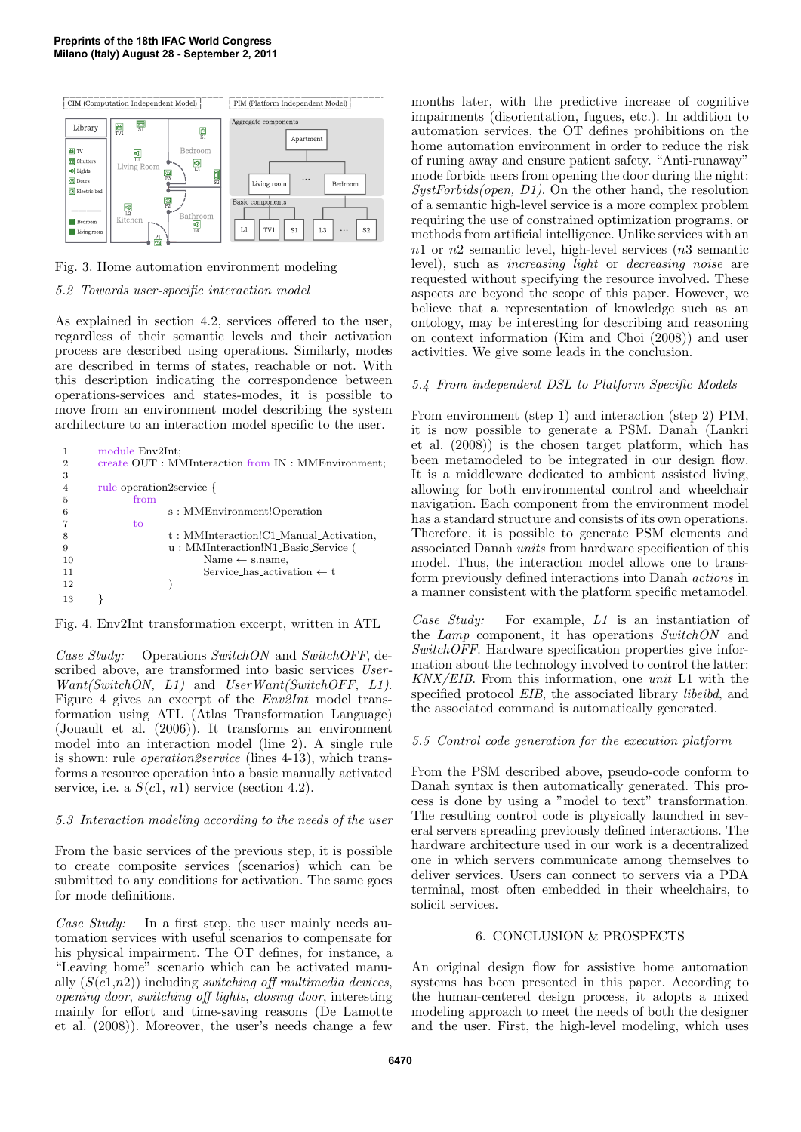

Fig. 3. Home automation environment modeling

## 5.2 Towards user-specific interaction model

As explained in section 4.2, services offered to the user, regardless of their semantic levels and their activation process are described using operations. Similarly, modes are described in terms of states, reachable or not. With this description indicating the correspondence between operations-services and states-modes, it is possible to move from an environment model describing the system architecture to an interaction model specific to the user.

|                | module Env2Int;                                     |  |
|----------------|-----------------------------------------------------|--|
| 2              | create OUT : MMInteraction from IN : MMEnvironment; |  |
| 3              |                                                     |  |
| $\overline{4}$ | rule operation2service {                            |  |
| 5              | from                                                |  |
| 6              | s: MMEnvironment!Operation                          |  |
|                | to                                                  |  |
|                | t: MMInteraction!C1_Manual_Activation,              |  |
| 9              | u: MMInteraction!N1_Basic_Service (                 |  |
| 10             | Name $\leftarrow$ s.name,                           |  |
| 11             | Service has activation $\leftarrow t$               |  |
| 12             |                                                     |  |
| 13             |                                                     |  |

Fig. 4. Env2Int transformation excerpt, written in ATL

Case Study: Operations SwitchON and SwitchOFF, described above, are transformed into basic services User-Want(SwitchON, L1) and UserWant(SwitchOFF, L1). Figure 4 gives an excerpt of the  $Env2Int$  model transformation using ATL (Atlas Transformation Language) (Jouault et al. (2006)). It transforms an environment model into an interaction model (line 2). A single rule is shown: rule operation2service (lines 4-13), which transforms a resource operation into a basic manually activated service, i.e. a  $S(c1, n1)$  service (section 4.2).

# 5.3 Interaction modeling according to the needs of the user

From the basic services of the previous step, it is possible to create composite services (scenarios) which can be submitted to any conditions for activation. The same goes for mode definitions.

Case Study: In a first step, the user mainly needs automation services with useful scenarios to compensate for his physical impairment. The OT defines, for instance, a "Leaving home" scenario which can be activated manually  $(S(c1, n2))$  including switching off multimedia devices, opening door, switching off lights, closing door, interesting mainly for effort and time-saving reasons (De Lamotte et al. (2008)). Moreover, the user's needs change a few

months later, with the predictive increase of cognitive impairments (disorientation, fugues, etc.). In addition to automation services, the OT defines prohibitions on the home automation environment in order to reduce the risk of runing away and ensure patient safety. "Anti-runaway" mode forbids users from opening the door during the night:  $SystForbids(open, D1)$ . On the other hand, the resolution of a semantic high-level service is a more complex problem requiring the use of constrained optimization programs, or methods from artificial intelligence. Unlike services with an  $n1$  or  $n2$  semantic level, high-level services  $(n3)$  semantic level), such as increasing light or decreasing noise are requested without specifying the resource involved. These aspects are beyond the scope of this paper. However, we believe that a representation of knowledge such as an ontology, may be interesting for describing and reasoning on context information (Kim and Choi (2008)) and user activities. We give some leads in the conclusion.

# 5.4 From independent DSL to Platform Specific Models

From environment (step 1) and interaction (step 2) PIM, it is now possible to generate a PSM. Danah (Lankri et al. (2008)) is the chosen target platform, which has been metamodeled to be integrated in our design flow. It is a middleware dedicated to ambient assisted living, allowing for both environmental control and wheelchair navigation. Each component from the environment model has a standard structure and consists of its own operations. Therefore, it is possible to generate PSM elements and associated Danah units from hardware specification of this model. Thus, the interaction model allows one to transform previously defined interactions into Danah actions in a manner consistent with the platform specific metamodel.

Case Study: For example, L1 is an instantiation of the *Lamp* component, it has operations *SwitchON* and SwitchOFF. Hardware specification properties give information about the technology involved to control the latter: KNX/EIB. From this information, one unit L1 with the specified protocol *EIB*, the associated library *libeibd*, and the associated command is automatically generated.

# 5.5 Control code generation for the execution platform

From the PSM described above, pseudo-code conform to Danah syntax is then automatically generated. This process is done by using a "model to text" transformation. The resulting control code is physically launched in several servers spreading previously defined interactions. The hardware architecture used in our work is a decentralized one in which servers communicate among themselves to deliver services. Users can connect to servers via a PDA terminal, most often embedded in their wheelchairs, to solicit services.

## 6. CONCLUSION & PROSPECTS

An original design flow for assistive home automation systems has been presented in this paper. According to the human-centered design process, it adopts a mixed modeling approach to meet the needs of both the designer and the user. First, the high-level modeling, which uses